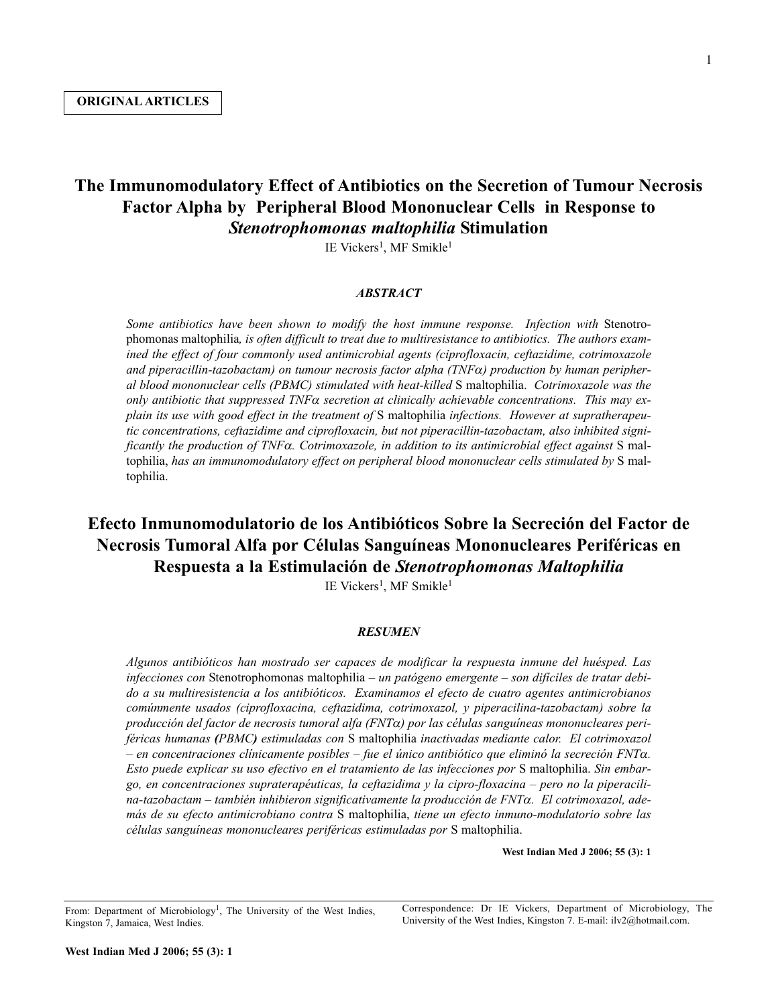## **The Immunomodulatory Effect of Antibiotics on the Secretion of Tumour Necrosis Factor Alpha by Peripheral Blood Mononuclear Cells in Response to** *Stenotrophomonas maltophilia* **Stimulation**

IE Vickers1, MF Smikle1

## *ABSTRACT*

*Some antibiotics have been shown to modify the host immune response. Infection with* Stenotrophomonas maltophilia*, is often difficult to treat due to multiresistance to antibiotics. The authors examined the effect of four commonly used antimicrobial agents (ciprofloxacin, ceftazidime, cotrimoxazole and piperacillin-tazobactam) on tumour necrosis factor alpha (TNF*α*) production by human peripheral blood mononuclear cells (PBMC) stimulated with heat-killed* S maltophilia. *Cotrimoxazole was the only antibiotic that suppressed TNF*<sup>α</sup> *secretion at clinically achievable concentrations. This may explain its use with good effect in the treatment of* S maltophilia *infections. However at supratherapeutic concentrations, ceftazidime and ciprofloxacin, but not piperacillin-tazobactam, also inhibited significantly the production of TNF*α*. Cotrimoxazole, in addition to its antimicrobial effect against* S maltophilia, *has an immunomodulatory effect on peripheral blood mononuclear cells stimulated by* S maltophilia.

# **Efecto Inmunomodulatorio de los Antibióticos Sobre la Secreción del Factor de Necrosis Tumoral Alfa por Células Sanguíneas Mononucleares Periféricas en Respuesta a la Estimulación de** *Stenotrophomonas Maltophilia*

IE Vickers<sup>1</sup>, MF Smikle<sup>1</sup>

## *RESUMEN*

*Algunos antibióticos han mostrado ser capaces de modificar la respuesta inmune del huésped. Las infecciones con* Stenotrophomonas maltophilia *– un patógeno emergente – son difíciles de tratar debido a su multiresistencia a los antibióticos. Examinamos el efecto de cuatro agentes antimicrobianos comúnmente usados (ciprofloxacina, ceftazidima, cotrimoxazol, y piperacilina-tazobactam) sobre la producción del factor de necrosis tumoral alfa (FNT*α*) por las células sanguíneas mononucleares periféricas humanas (PBMC) estimuladas con* S maltophilia *inactivadas mediante calor. El cotrimoxazol – en concentraciones clínicamente posibles – fue el único antibiótico que eliminó la secreción FNT*α*. Esto puede explicar su uso efectivo en el tratamiento de las infecciones por* S maltophilia. *Sin embargo, en concentraciones supraterapéuticas, la ceftazidima y la cipro-floxacina – pero no la piperacilina-tazobactam – también inhibieron significativamente la producción de FNT*α*. El cotrimoxazol, además de su efecto antimicrobiano contra* S maltophilia, *tiene un efecto inmuno-modulatorio sobre las células sanguíneas mononucleares periféricas estimuladas por* S maltophilia.

**West Indian Med J 2006; 55 (3): 1**

From: Department of Microbiology<sup>1</sup>, The University of the West Indies, Kingston 7, Jamaica, West Indies.

Correspondence: Dr IE Vickers, Department of Microbiology, The University of the West Indies, Kingston 7. E-mail: ilv2@hotmail.com.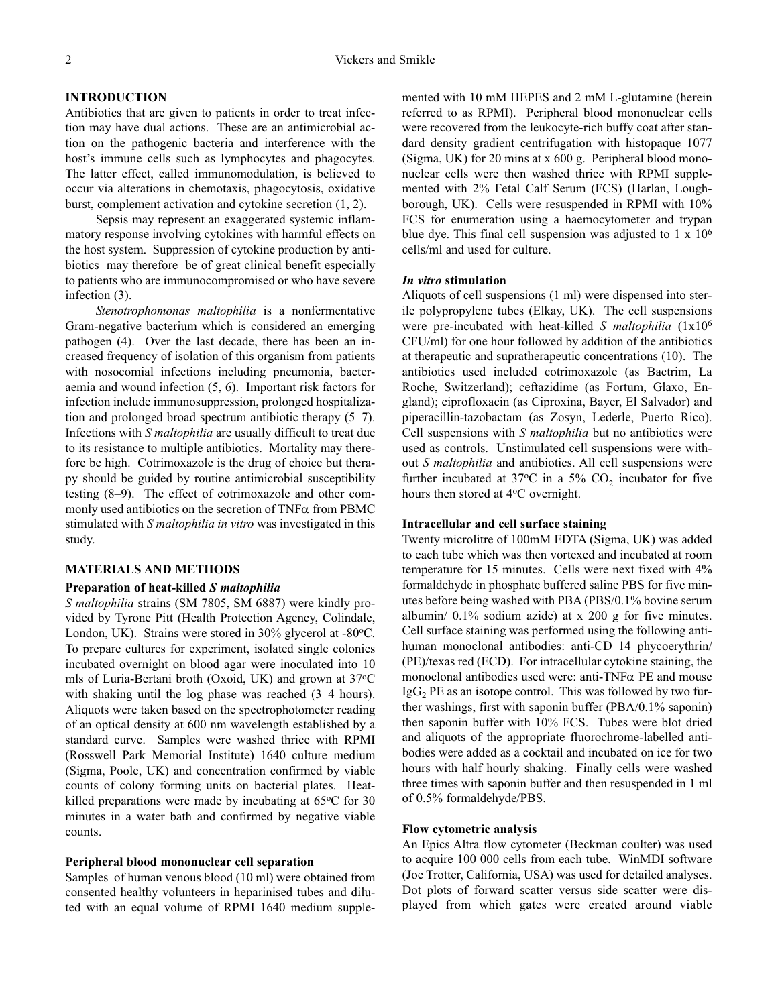## **INTRODUCTION**

Antibiotics that are given to patients in order to treat infection may have dual actions. These are an antimicrobial action on the pathogenic bacteria and interference with the host's immune cells such as lymphocytes and phagocytes. The latter effect, called immunomodulation, is believed to occur via alterations in chemotaxis, phagocytosis, oxidative burst, complement activation and cytokine secretion (1, 2).

Sepsis may represent an exaggerated systemic inflammatory response involving cytokines with harmful effects on the host system. Suppression of cytokine production by antibiotics may therefore be of great clinical benefit especially to patients who are immunocompromised or who have severe infection (3).

*Stenotrophomonas maltophilia* is a nonfermentative Gram-negative bacterium which is considered an emerging pathogen (4). Over the last decade, there has been an increased frequency of isolation of this organism from patients with nosocomial infections including pneumonia, bacteraemia and wound infection (5, 6). Important risk factors for infection include immunosuppression, prolonged hospitalization and prolonged broad spectrum antibiotic therapy (5–7). Infections with *S maltophilia* are usually difficult to treat due to its resistance to multiple antibiotics. Mortality may therefore be high. Cotrimoxazole is the drug of choice but therapy should be guided by routine antimicrobial susceptibility testing (8–9). The effect of cotrimoxazole and other commonly used antibiotics on the secretion of  $TNF\alpha$  from PBMC stimulated with *S maltophilia in vitro* was investigated in this study.

#### **MATERIALS AND METHODS**

#### **Preparation of heat-killed** *S maltophilia*

*S maltophilia* strains (SM 7805, SM 6887) were kindly provided by Tyrone Pitt (Health Protection Agency, Colindale, London, UK). Strains were stored in  $30\%$  glycerol at -80 $^{\circ}$ C. To prepare cultures for experiment, isolated single colonies incubated overnight on blood agar were inoculated into 10 mls of Luria-Bertani broth (Oxoid, UK) and grown at 37°C with shaking until the log phase was reached  $(3-4$  hours). Aliquots were taken based on the spectrophotometer reading of an optical density at 600 nm wavelength established by a standard curve. Samples were washed thrice with RPMI (Rosswell Park Memorial Institute) 1640 culture medium (Sigma, Poole, UK) and concentration confirmed by viable counts of colony forming units on bacterial plates. Heatkilled preparations were made by incubating at  $65^{\circ}$ C for 30 minutes in a water bath and confirmed by negative viable counts.

#### **Peripheral blood mononuclear cell separation**

Samples of human venous blood (10 ml) were obtained from consented healthy volunteers in heparinised tubes and diluted with an equal volume of RPMI 1640 medium supplemented with 10 mM HEPES and 2 mM L-glutamine (herein referred to as RPMI). Peripheral blood mononuclear cells were recovered from the leukocyte-rich buffy coat after standard density gradient centrifugation with histopaque 1077 (Sigma, UK) for 20 mins at x 600 g. Peripheral blood mononuclear cells were then washed thrice with RPMI supplemented with 2% Fetal Calf Serum (FCS) (Harlan, Loughborough, UK). Cells were resuspended in RPMI with 10% FCS for enumeration using a haemocytometer and trypan blue dye. This final cell suspension was adjusted to  $1 \times 10^6$ cells/ml and used for culture.

#### *In vitro* **stimulation**

Aliquots of cell suspensions (1 ml) were dispensed into sterile polypropylene tubes (Elkay, UK). The cell suspensions were pre-incubated with heat-killed *S maltophilia* (1x106 CFU/ml) for one hour followed by addition of the antibiotics at therapeutic and supratherapeutic concentrations (10). The antibiotics used included cotrimoxazole (as Bactrim, La Roche, Switzerland); ceftazidime (as Fortum, Glaxo, England); ciprofloxacin (as Ciproxina, Bayer, El Salvador) and piperacillin-tazobactam (as Zosyn, Lederle, Puerto Rico). Cell suspensions with *S maltophilia* but no antibiotics were used as controls. Unstimulated cell suspensions were without *S maltophilia* and antibiotics. All cell suspensions were further incubated at 37 $\degree$ C in a 5% CO<sub>2</sub> incubator for five hours then stored at 4°C overnight.

## **Intracellular and cell surface staining**

Twenty microlitre of 100mM EDTA (Sigma, UK) was added to each tube which was then vortexed and incubated at room temperature for 15 minutes. Cells were next fixed with 4% formaldehyde in phosphate buffered saline PBS for five minutes before being washed with PBA (PBS/0.1% bovine serum albumin/ 0.1% sodium azide) at x 200 g for five minutes. Cell surface staining was performed using the following antihuman monoclonal antibodies: anti-CD 14 phycoerythrin/ (PE)/texas red (ECD). For intracellular cytokine staining, the monoclonal antibodies used were: anti-TNFα PE and mouse  $\text{IgG}_2$  PE as an isotope control. This was followed by two further washings, first with saponin buffer (PBA/0.1% saponin) then saponin buffer with 10% FCS. Tubes were blot dried and aliquots of the appropriate fluorochrome-labelled antibodies were added as a cocktail and incubated on ice for two hours with half hourly shaking. Finally cells were washed three times with saponin buffer and then resuspended in 1 ml of 0.5% formaldehyde/PBS.

#### **Flow cytometric analysis**

An Epics Altra flow cytometer (Beckman coulter) was used to acquire 100 000 cells from each tube. WinMDI software (Joe Trotter, California, USA) was used for detailed analyses. Dot plots of forward scatter versus side scatter were displayed from which gates were created around viable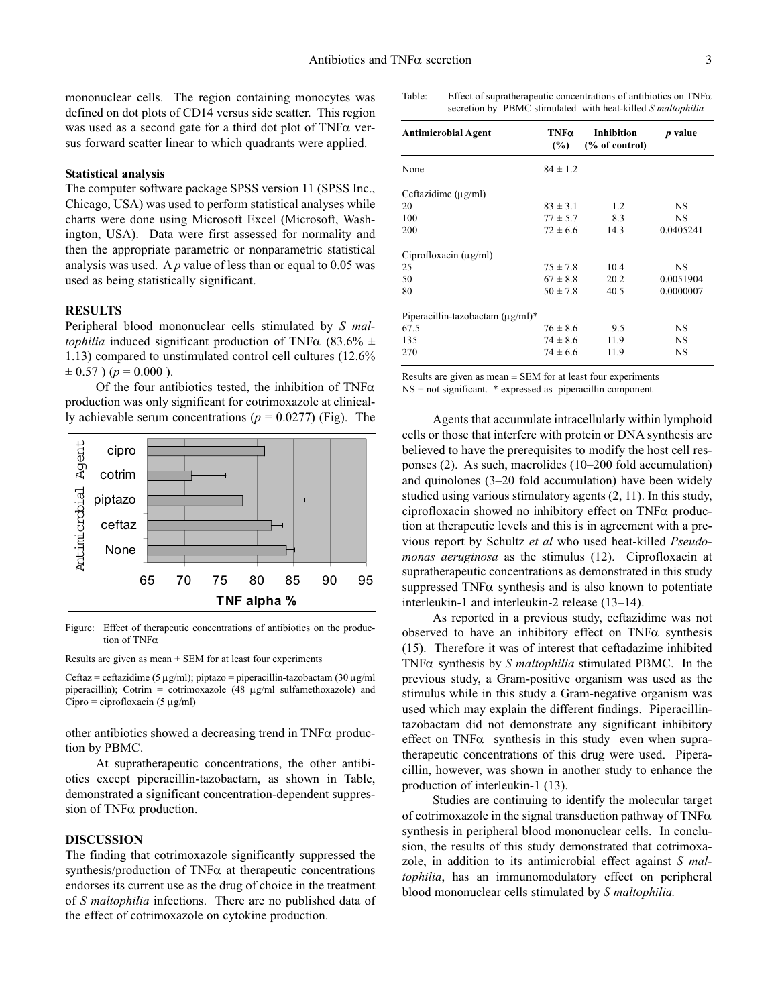mononuclear cells. The region containing monocytes was defined on dot plots of CD14 versus side scatter. This region was used as a second gate for a third dot plot of  $TNF\alpha$  versus forward scatter linear to which quadrants were applied.

#### **Statistical analysis**

The computer software package SPSS version 11 (SPSS Inc., Chicago, USA) was used to perform statistical analyses while charts were done using Microsoft Excel (Microsoft, Washington, USA). Data were first assessed for normality and then the appropriate parametric or nonparametric statistical analysis was used. A *p* value of less than or equal to 0.05 was used as being statistically significant.

#### **RESULTS**

Peripheral blood mononuclear cells stimulated by *S maltophilia* induced significant production of TNF $\alpha$  (83.6%  $\pm$ 1.13) compared to unstimulated control cell cultures (12.6%  $\pm$  0.57 ) ( $p = 0.000$ ).

Of the four antibiotics tested, the inhibition of  $TNF\alpha$ production was only significant for cotrimoxazole at clinically achievable serum concentrations ( $p = 0.0277$ ) (Fig). The Agents that accumulate intracellularly within lymphoid



Figure: Effect of therapeutic concentrations of antibiotics on the production of TNFα

Results are given as mean  $\pm$  SEM for at least four experiments

Ceftaz = ceftazidime (5  $\mu$ g/ml); piptazo = piperacillin-tazobactam (30  $\mu$ g/ml piperacillin); Cotrim = cotrimoxazole (48  $\mu$ g/ml sulfamethoxazole) and  $Cipro = ciproflox (5 µg/ml)$ 

other antibiotics showed a decreasing trend in  $TNF\alpha$  production by PBMC.

At supratherapeutic concentrations, the other antibiotics except piperacillin-tazobactam, as shown in Table, demonstrated a significant concentration-dependent suppression of TNFα production.

## **DISCUSSION**

The finding that cotrimoxazole significantly suppressed the synthesis/production of  $TNF\alpha$  at therapeutic concentrations endorses its current use as the drug of choice in the treatment of *S maltophilia* infections. There are no published data of the effect of cotrimoxazole on cytokine production.

| Table: | Effect of supratherapeutic concentrations of antibiotics on $TNF\alpha$ |
|--------|-------------------------------------------------------------------------|
|        | secretion by PBMC stimulated with heat-killed S maltophilia             |

| <b>Antimicrobial Agent</b>             | TNFa<br>(%)  | Inhibition<br>$(\%$ of control) | <i>p</i> value |  |
|----------------------------------------|--------------|---------------------------------|----------------|--|
| None                                   | $84 \pm 1.2$ |                                 |                |  |
| Ceftazidime $(\mu g/ml)$               |              |                                 |                |  |
| 20                                     | $83 \pm 3.1$ | 1.2                             | <b>NS</b>      |  |
| 100                                    | $77 \pm 5.7$ | 8.3                             | <b>NS</b>      |  |
| 200                                    | $72 \pm 6.6$ | 14.3                            | 0.0405241      |  |
| Ciprofloxacin $(\mu g/ml)$             |              |                                 |                |  |
| 25                                     | $75 \pm 7.8$ | 10.4                            | <b>NS</b>      |  |
| 50                                     | $67 \pm 8.8$ | 20.2                            | 0.0051904      |  |
| 80                                     | $50 \pm 7.8$ | 40.5                            | 0.0000007      |  |
| Piperacillin-tazobactam $(\mu g/ml)^*$ |              |                                 |                |  |
| 67.5                                   | $76 \pm 8.6$ | 9.5                             | <b>NS</b>      |  |
| 135                                    | $74 \pm 8.6$ | 11.9                            | NS             |  |
| 270                                    | $74 \pm 6.6$ | 11.9                            | <b>NS</b>      |  |

Results are given as mean  $\pm$  SEM for at least four experiments NS = not significant. \* expressed as piperacillin component

cells or those that interfere with protein or DNA synthesis are believed to have the prerequisites to modify the host cell responses (2). As such, macrolides (10–200 fold accumulation) and quinolones (3–20 fold accumulation) have been widely studied using various stimulatory agents (2, 11). In this study, ciprofloxacin showed no inhibitory effect on TNFα production at therapeutic levels and this is in agreement with a previous report by Schultz *et al* who used heat-killed *Pseudomonas aeruginosa* as the stimulus (12). Ciprofloxacin at supratherapeutic concentrations as demonstrated in this study suppressed  $TNF\alpha$  synthesis and is also known to potentiate interleukin-1 and interleukin-2 release (13–14).

As reported in a previous study, ceftazidime was not observed to have an inhibitory effect on  $TNF\alpha$  synthesis (15). Therefore it was of interest that ceftadazime inhibited TNFα synthesis by *S maltophilia* stimulated PBMC. In the previous study, a Gram-positive organism was used as the stimulus while in this study a Gram-negative organism was used which may explain the different findings. Piperacillintazobactam did not demonstrate any significant inhibitory effect on TNF $\alpha$  synthesis in this study even when supratherapeutic concentrations of this drug were used. Piperacillin, however, was shown in another study to enhance the production of interleukin-1 (13).

Studies are continuing to identify the molecular target of cotrimoxazole in the signal transduction pathway of TNFα synthesis in peripheral blood mononuclear cells. In conclusion, the results of this study demonstrated that cotrimoxazole, in addition to its antimicrobial effect against *S maltophilia*, has an immunomodulatory effect on peripheral blood mononuclear cells stimulated by *S maltophilia.*